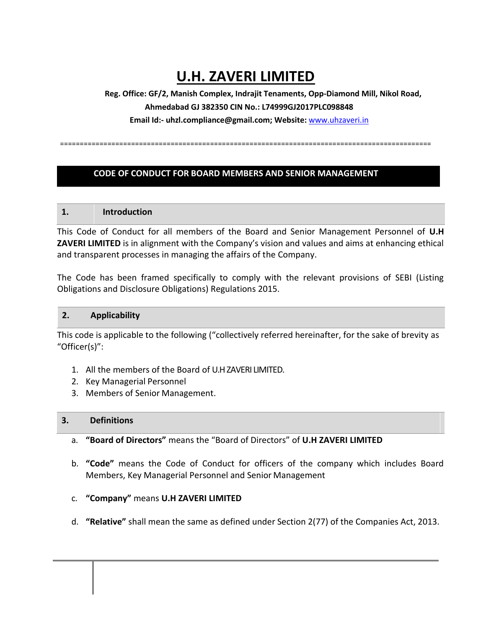# **U.H. ZAVERI LIMITED**

**Reg. Office: GF/2, Manish Complex, Indrajit Tenaments, Opp-Diamond Mill, Nikol Road, Ahmedabad GJ 382350 CIN No.: L74999GJ2017PLC098848 Email Id:- uhzl.compliance@gmail.com; Website:** [www.uhzaveri.i](http://www.uhzaveri./)n

==============================================================================================

#### **CODE OF CONDUCT FOR BOARD MEMBERS AND SENIOR MANAGEMENT**

#### **1. Introduction**

This Code of Conduct for all members of the Board and Senior Management Personnel of **U.H ZAVERI LIMITED** is in alignment with the Company's vision and values and aims at enhancing ethical and transparent processes in managing the affairs of the Company.

The Code has been framed specifically to comply with the relevant provisions of SEBI (Listing Obligations and Disclosure Obligations) Regulations 2015.

#### **2. Applicability**

This code is applicable to the following ("collectively referred hereinafter, for the sake of brevity as "Officer(s)":

- 1. All the members of the Board of U.H ZAVERI LIMITED.
- 2. Key Managerial Personnel
- 3. Members of Senior Management.

#### **3. Definitions**

- a. **"Board of Directors"** means the "Board of Directors" of **U.H ZAVERI LIMITED**
- b. **"Code"** means the Code of Conduct for officers of the company which includes Board Members, Key Managerial Personnel and Senior Management
- c. **"Company"** means **U.H ZAVERI LIMITED**
- d. **"Relative"** shall mean the same as defined under Section 2(77) of the Companies Act, 2013.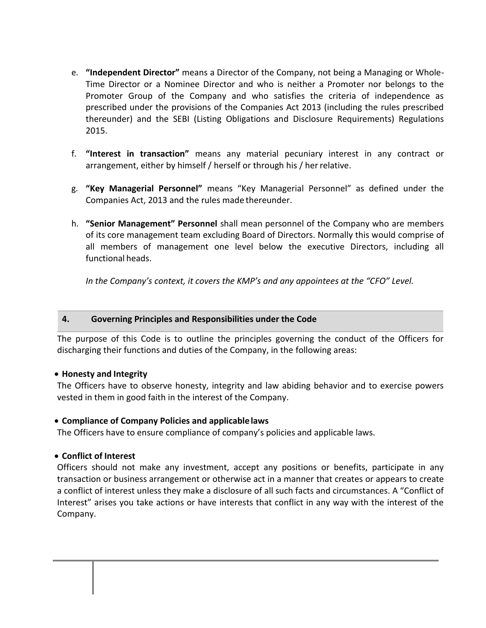- e. **"Independent Director"** means a Director of the Company, not being a Managing or Whole-Time Director or a Nominee Director and who is neither a Promoter nor belongs to the Promoter Group of the Company and who satisfies the criteria of independence as prescribed under the provisions of the Companies Act 2013 (including the rules prescribed thereunder) and the SEBI (Listing Obligations and Disclosure Requirements) Regulations 2015.
- f. **"Interest in transaction"** means any material pecuniary interest in any contract or arrangement, either by himself / herself or through his / herrelative.
- g. **"Key Managerial Personnel"** means "Key Managerial Personnel" as defined under the Companies Act, 2013 and the rules made thereunder.
- h. **"Senior Management" Personnel** shall mean personnel of the Company who are members of its core management team excluding Board of Directors. Normally this would comprise of all members of management one level below the executive Directors, including all functional heads.

*In the Company's context, it covers the KMP's and any appointees at the "CFO" Level.*

## **4. Governing Principles and Responsibilities under the Code**

The purpose of this Code is to outline the principles governing the conduct of the Officers for discharging their functions and duties of the Company, in the following areas:

## • **Honesty and Integrity**

The Officers have to observe honesty, integrity and law abiding behavior and to exercise powers vested in them in good faith in the interest of the Company.

## • **Compliance of Company Policies and applicable laws**

The Officers have to ensure compliance of company's policies and applicable laws.

## • **Conflict of Interest**

Officers should not make any investment, accept any positions or benefits, participate in any transaction or business arrangement or otherwise act in a manner that creates or appears to create a conflict of interest unless they make a disclosure of all such facts and circumstances. A "Conflict of Interest" arises you take actions or have interests that conflict in any way with the interest of the Company.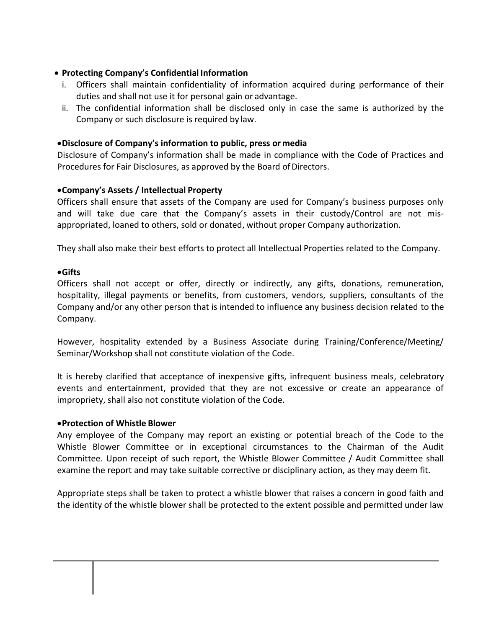# • **Protecting Company's Confidential Information**

- i. Officers shall maintain confidentiality of information acquired during performance of their duties and shall not use it for personal gain or advantage.
- ii. The confidential information shall be disclosed only in case the same is authorized by the Company or such disclosure is required by law.

## •**Disclosure of Company's information to public, press or media**

Disclosure of Company's information shall be made in compliance with the Code of Practices and Procedures for Fair Disclosures, as approved by the Board of Directors.

# •**Company's Assets / Intellectual Property**

Officers shall ensure that assets of the Company are used for Company's business purposes only and will take due care that the Company's assets in their custody/Control are not misappropriated, loaned to others, sold or donated, without proper Company authorization.

They shall also make their best efforts to protect all Intellectual Properties related to the Company.

## •**Gifts**

Officers shall not accept or offer, directly or indirectly, any gifts, donations, remuneration, hospitality, illegal payments or benefits, from customers, vendors, suppliers, consultants of the Company and/or any other person that is intended to influence any business decision related to the Company.

However, hospitality extended by a Business Associate during Training/Conference/Meeting/ Seminar/Workshop shall not constitute violation of the Code.

It is hereby clarified that acceptance of inexpensive gifts, infrequent business meals, celebratory events and entertainment, provided that they are not excessive or create an appearance of impropriety, shall also not constitute violation of the Code.

## •**Protection of Whistle Blower**

Any employee of the Company may report an existing or potential breach of the Code to the Whistle Blower Committee or in exceptional circumstances to the Chairman of the Audit Committee. Upon receipt of such report, the Whistle Blower Committee / Audit Committee shall examine the report and may take suitable corrective or disciplinary action, as they may deem fit.

Appropriate steps shall be taken to protect a whistle blower that raises a concern in good faith and the identity of the whistle blower shall be protected to the extent possible and permitted under law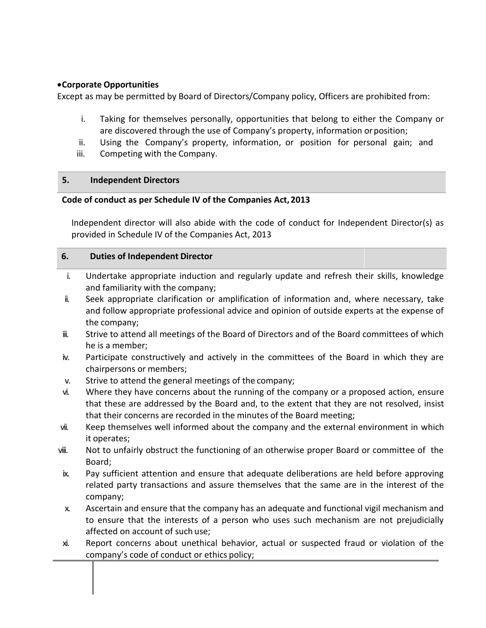# •**Corporate Opportunities**

Except as may be permitted by Board of Directors/Company policy, Officers are prohibited from:

- i. Taking for themselves personally, opportunities that belong to either the Company or are discovered through the use of Company's property, information orposition;
- ii. Using the Company's property, information, or position for personal gain; and
- iii. Competing with the Company.

## **5. Independent Directors**

#### **Code of conduct as per Schedule IV of the Companies Act, 2013**

Independent director will also abide with the code of conduct for Independent Director(s) as provided in Schedule IV of the Companies Act, 2013

#### **6. Duties of Independent Director**

- i. Undertake appropriate induction and regularly update and refresh their skills, knowledge and familiarity with the company;
- ii. Seek appropriate clarification or amplification of information and, where necessary, take and follow appropriate professional advice and opinion of outside experts at the expense of the company;
- iii. Strive to attend all meetings of the Board of Directors and of the Board committees of which he is a member;
- iv. Participate constructively and actively in the committees of the Board in which they are chairpersons or members;
- v. Strive to attend the general meetings of the company;
- vi. Where they have concerns about the running of the company or a proposed action, ensure that these are addressed by the Board and, to the extent that they are not resolved, insist that their concerns are recorded in the minutes of the Board meeting;
- vii. Keep themselves well informed about the company and the external environment in which it operates;
- viii. Not to unfairly obstruct the functioning of an otherwise proper Board or committee of the Board;
- ix. Pay sufficient attention and ensure that adequate deliberations are held before approving related party transactions and assure themselves that the same are in the interest of the company;
- x. Ascertain and ensure that the company has an adequate and functional vigil mechanism and to ensure that the interests of a person who uses such mechanism are not prejudicially affected on account of such use;
- xi. Report concerns about unethical behavior, actual or suspected fraud or violation of the company's code of conduct or ethics policy;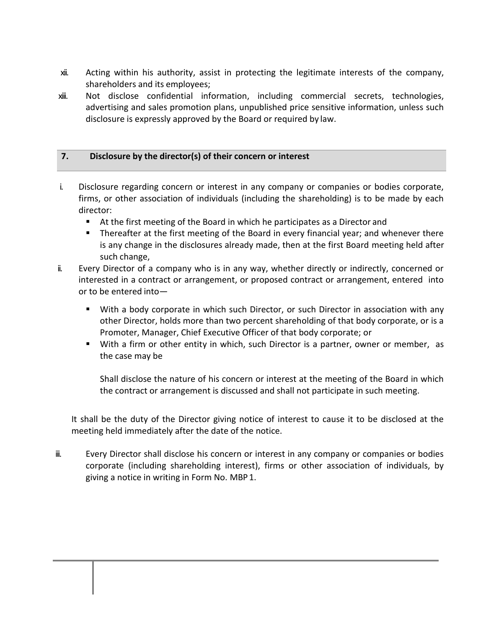- xii. Acting within his authority, assist in protecting the legitimate interests of the company, shareholders and its employees;
- xiii. Not disclose confidential information, including commercial secrets, technologies, advertising and sales promotion plans, unpublished price sensitive information, unless such disclosure is expressly approved by the Board or required by law.

# **7. Disclosure by the director(s) of their concern or interest**

- i. Disclosure regarding concern or interest in any company or companies or bodies corporate, firms, or other association of individuals (including the shareholding) is to be made by each director:
	- At the first meeting of the Board in which he participates as a Director and
	- Thereafter at the first meeting of the Board in every financial year; and whenever there is any change in the disclosures already made, then at the first Board meeting held after such change,
- ii. Every Director of a company who is in any way, whether directly or indirectly, concerned or interested in a contract or arrangement, or proposed contract or arrangement, entered into or to be entered into—
	- With a body corporate in which such Director, or such Director in association with any other Director, holds more than two percent shareholding of that body corporate, or is a Promoter, Manager, Chief Executive Officer of that body corporate; or
	- With a firm or other entity in which, such Director is a partner, owner or member, as the case may be

Shall disclose the nature of his concern or interest at the meeting of the Board in which the contract or arrangement is discussed and shall not participate in such meeting.

It shall be the duty of the Director giving notice of interest to cause it to be disclosed at the meeting held immediately after the date of the notice.

iii. Every Director shall disclose his concern or interest in any company or companies or bodies corporate (including shareholding interest), firms or other association of individuals, by giving a notice in writing in Form No. MBP 1.